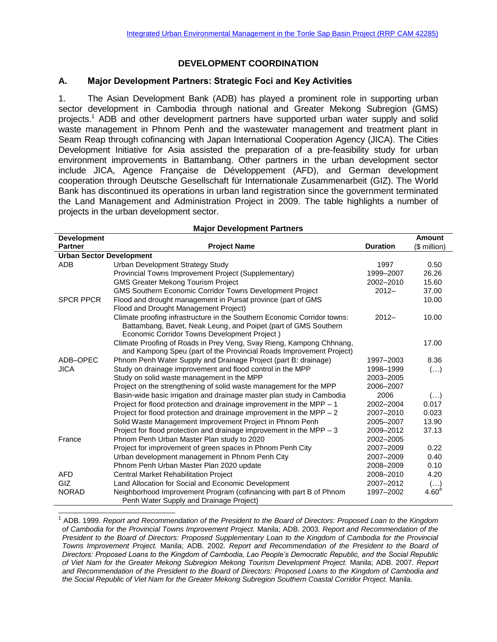### **DEVELOPMENT COORDINATION**

### **A. Major Development Partners: Strategic Foci and Key Activities**

1. The Asian Development Bank (ADB) has played a prominent role in supporting urban sector development in Cambodia through national and Greater Mekong Subregion (GMS) projects. <sup>1</sup> ADB and other development partners have supported urban water supply and solid waste management in Phnom Penh and the wastewater management and treatment plant in Seam Reap through cofinancing with Japan International Cooperation Agency (JICA). The Cities Development Initiative for Asia assisted the preparation of a pre-feasibility study for urban environment improvements in Battambang. Other partners in the urban development sector include JICA, Agence Française de Développement (AFD), and German development cooperation through Deutsche Gesellschaft für Internationale Zusammenarbeit (GIZ). The World Bank has discontinued its operations in urban land registration since the government terminated the Land Management and Administration Project in 2009. The table highlights a number of projects in the urban development sector.

| <b>Development</b>              |                                                                          |                 | <b>Amount</b>           |  |  |  |  |
|---------------------------------|--------------------------------------------------------------------------|-----------------|-------------------------|--|--|--|--|
| <b>Partner</b>                  | <b>Project Name</b>                                                      | <b>Duration</b> | $$$ million)            |  |  |  |  |
| <b>Urban Sector Development</b> |                                                                          |                 |                         |  |  |  |  |
| <b>ADB</b>                      | Urban Development Strategy Study                                         | 1997            | 0.50                    |  |  |  |  |
|                                 | Provincial Towns Improvement Project (Supplementary)                     | 1999-2007       | 26.26                   |  |  |  |  |
|                                 | <b>GMS Greater Mekong Tourism Project</b>                                | 2002-2010       | 15.60                   |  |  |  |  |
|                                 | <b>GMS Southern Economic Corridor Towns Development Project</b>          | $2012 -$        | 37.00                   |  |  |  |  |
| <b>SPCR PPCR</b>                | Flood and drought management in Pursat province (part of GMS             |                 | 10.00                   |  |  |  |  |
|                                 | Flood and Drought Management Project)                                    |                 |                         |  |  |  |  |
|                                 | Climate proofing infrastructure in the Southern Economic Corridor towns: | $2012 -$        | 10.00                   |  |  |  |  |
|                                 | Battambang, Bavet, Neak Leung, and Poipet (part of GMS Southern          |                 |                         |  |  |  |  |
|                                 | Economic Corridor Towns Development Project)                             |                 |                         |  |  |  |  |
|                                 | Climate Proofing of Roads in Prey Veng, Svay Rieng, Kampong Chhnang,     |                 | 17.00                   |  |  |  |  |
|                                 | and Kampong Speu (part of the Provincial Roads Improvement Project)      |                 |                         |  |  |  |  |
| ADB-OPEC                        | Phnom Penh Water Supply and Drainage Project (part B: drainage)          | 1997-2003       | 8.36                    |  |  |  |  |
| <b>JICA</b>                     | Study on drainage improvement and flood control in the MPP               | 1998-1999       | $\left(\ldots\right)$   |  |  |  |  |
|                                 | Study on solid waste management in the MPP                               | 2003-2005       |                         |  |  |  |  |
|                                 | Project on the strengthening of solid waste management for the MPP       | 2006-2007       |                         |  |  |  |  |
|                                 | Basin-wide basic irrigation and drainage master plan study in Cambodia   | 2006            | $\left( \ldots \right)$ |  |  |  |  |
|                                 | Project for flood protection and drainage improvement in the MPP - 1     | 2002-2004       | 0.017                   |  |  |  |  |
|                                 | Project for flood protection and drainage improvement in the MPP $-2$    | 2007-2010       | 0.023                   |  |  |  |  |
|                                 | Solid Waste Management Improvement Project in Phnom Penh                 | 2005-2007       | 13.90                   |  |  |  |  |
|                                 | Project for flood protection and drainage improvement in the MPP $-3$    | 2009-2012       | 37.13                   |  |  |  |  |
| France                          | Phnom Penh Urban Master Plan study to 2020                               | 2002-2005       |                         |  |  |  |  |
|                                 | Project for improvement of green spaces in Phnom Penh City               | 2007-2009       | 0.22                    |  |  |  |  |
|                                 | Urban development management in Phnom Penh City                          | 2007-2009       | 0.40                    |  |  |  |  |
|                                 | Phnom Penh Urban Master Plan 2020 update                                 | 2008-2009       | 0.10                    |  |  |  |  |
| <b>AFD</b>                      | <b>Central Market Rehabilitation Project</b>                             | 2008-2010       | 4.20                    |  |  |  |  |
| <b>GIZ</b>                      | Land Allocation for Social and Economic Development                      | 2007-2012       | $(\ldots)$              |  |  |  |  |
| <b>NORAD</b>                    | Neighborhood Improvement Program (cofinancing with part B of Phnom       | 1997-2002       | 4.60 <sup>a</sup>       |  |  |  |  |
|                                 | Penh Water Supply and Drainage Project)                                  |                 |                         |  |  |  |  |

### **Major Development Partners**

 $\overline{\phantom{a}}$ 

<sup>1</sup> ADB. 1999. *Report and Recommendation of the President to the Board of Directors: Proposed Loan to the Kingdom of Cambodia for the Provincial Towns Improvement Project.* Manila; ADB. 2003*. Report and Recommendation of the President to the Board of Directors: Proposed Supplementary Loan to the Kingdom of Cambodia for the Provincial Towns Improvement Project.* Manila; ADB. 2002*. Report and Recommendation of the President to the Board of Directors: Proposed Loans to the Kingdom of Cambodia, Lao People's Democratic Republic, and the Social Republic of Viet Nam for the Greater Mekong Subregion Mekong Tourism Development Project.* Manila; ADB. 2007. *Report and Recommendation of the President to the Board of Directors: Proposed Loans to the Kingdom of Cambodia and the Social Republic of Viet Nam for the Greater Mekong Subregion Southern Coastal Corridor Project.* Manila.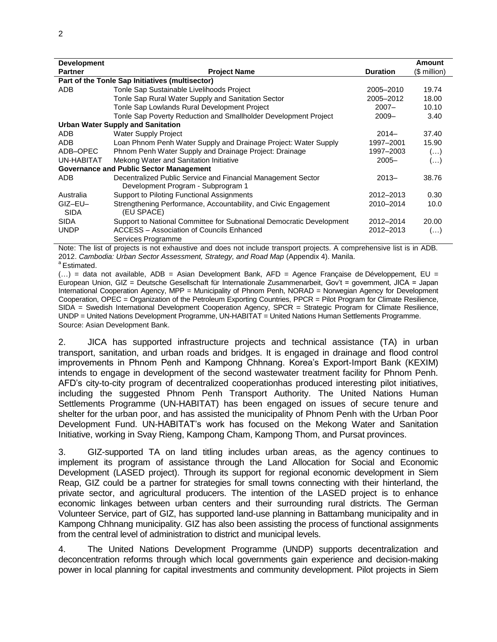| <b>Development</b>                              |                                                                 |                 | Amount       |  |  |  |
|-------------------------------------------------|-----------------------------------------------------------------|-----------------|--------------|--|--|--|
| <b>Partner</b>                                  | <b>Project Name</b>                                             | <b>Duration</b> | (\$ million) |  |  |  |
| Part of the Tonle Sap Initiatives (multisector) |                                                                 |                 |              |  |  |  |
| ADB                                             | Tonle Sap Sustainable Livelihoods Project                       | 2005-2010       | 19.74        |  |  |  |
|                                                 | Tonle Sap Rural Water Supply and Sanitation Sector              | 2005-2012       | 18.00        |  |  |  |
|                                                 | Tonle Sap Lowlands Rural Development Project                    | $2007 -$        | 10.10        |  |  |  |
|                                                 | Tonle Sap Poverty Reduction and Smallholder Development Project | $2009 -$        | 3.40         |  |  |  |
|                                                 | Urban Water Supply and Sanitation                               |                 |              |  |  |  |
| <b>ADB</b>                                      | <b>Water Supply Project</b>                                     | $2014-$         | 37.40        |  |  |  |
| ADB                                             | Loan Phnom Penh Water Supply and Drainage Project: Water Supply | 1997-2001       | 15.90        |  |  |  |
| ADB-OPEC                                        | Phnom Penh Water Supply and Drainage Project: Drainage          | 1997-2003       | $(\ldots)$   |  |  |  |
| UN-HABITAT                                      | Mekong Water and Sanitation Initiative                          | $2005 -$        | $(\ldots)$   |  |  |  |
|                                                 | <b>Governance and Public Sector Management</b>                  |                 |              |  |  |  |
| ADB                                             | Decentralized Public Service and Financial Management Sector    | $2013 -$        | 38.76        |  |  |  |

| <b>ADD</b>      | Decentralized L dollo Oervice and Liniancial Management Oector                | $' \cup \cup \cup$ | <u>JU.IU</u> |
|-----------------|-------------------------------------------------------------------------------|--------------------|--------------|
|                 | Development Program - Subprogram 1                                            |                    |              |
| Australia       | Support to Piloting Functional Assignments                                    | 2012-2013          | 0.30         |
| GIZ-EU-<br>SIDA | Strengthening Performance, Accountability, and Civic Engagement<br>(EU SPACE) | 2010-2014          | 10.0         |
| <b>SIDA</b>     | Support to National Committee for Subnational Democratic Development          | 2012-2014          | 20.00        |
| <b>UNDP</b>     | ACCESS - Association of Councils Enhanced                                     | 2012-2013          | $($          |
|                 | Services Programme                                                            |                    |              |

Note: The list of projects is not exhaustive and does not include transport projects. A comprehensive list is in ADB. 2012. *Cambodia: Urban Sector Assessment, Strategy, and Road Map* (Appendix 4). Manila.

<sup>a</sup> Estimated.

 $(...)$  = data not available, ADB = Asian Development Bank, AFD = Agence Francaise de Développement, EU = European Union, GIZ = Deutsche Gesellschaft für Internationale Zusammenarbeit, Gov't = government, JICA = Japan International Cooperation Agency, MPP = Municipality of Phnom Penh, NORAD = Norwegian Agency for Development Cooperation, OPEC = Organization of the Petroleum Exporting Countries, PPCR = Pilot Program for Climate Resilience, SIDA = Swedish International Development Cooperation Agency, SPCR = Strategic Program for Climate Resilience, UNDP = United Nations Development Programme, UN-HABITAT = United Nations Human Settlements Programme. Source: Asian Development Bank.

2. JICA has supported infrastructure projects and technical assistance (TA) in urban transport, sanitation, and urban roads and bridges. It is engaged in drainage and flood control improvements in Phnom Penh and Kampong Chhnang. Korea's Export-Import Bank (KEXIM) intends to engage in development of the second wastewater treatment facility for Phnom Penh. AFD's city-to-city program of decentralized cooperationhas produced interesting pilot initiatives, including the suggested Phnom Penh Transport Authority. The United Nations Human Settlements Programme (UN-HABITAT) has been engaged on issues of secure tenure and shelter for the urban poor, and has assisted the municipality of Phnom Penh with the Urban Poor Development Fund. UN-HABITAT's work has focused on the Mekong Water and Sanitation Initiative, working in Svay Rieng, Kampong Cham, Kampong Thom, and Pursat provinces.

3. GIZ-supported TA on land titling includes urban areas, as the agency continues to implement its program of assistance through the Land Allocation for Social and Economic Development (LASED project). Through its support for regional economic development in Siem Reap, GIZ could be a partner for strategies for small towns connecting with their hinterland, the private sector, and agricultural producers. The intention of the LASED project is to enhance economic linkages between urban centers and their surrounding rural districts. The German Volunteer Service, part of GIZ, has supported land-use planning in Battambang municipality and in Kampong Chhnang municipality. GIZ has also been assisting the process of functional assignments from the central level of administration to district and municipal levels.

4. The United Nations Development Programme (UNDP) supports decentralization and deconcentration reforms through which local governments gain experience and decision-making power in local planning for capital investments and community development. Pilot projects in Siem